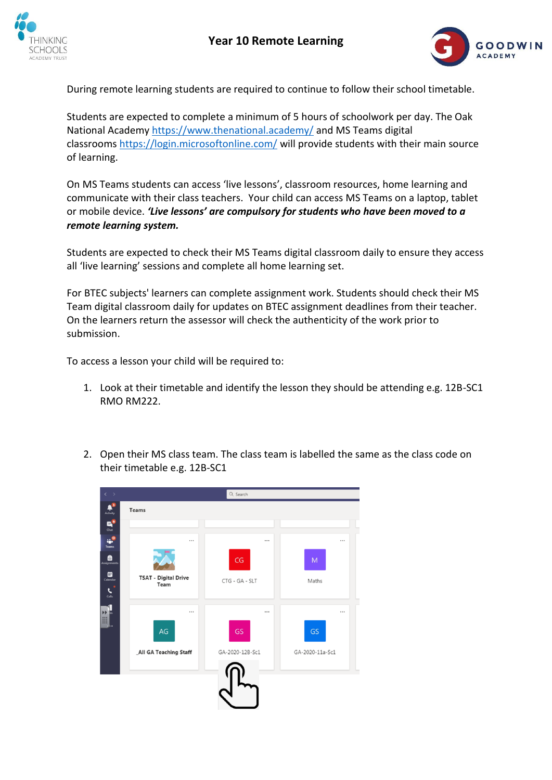



During remote learning students are required to continue to follow their school timetable.

Students are expected to complete a minimum of 5 hours of schoolwork per day. The Oak National Academy <https://www.thenational.academy/> and MS Teams digital classrooms <https://login.microsoftonline.com/> will provide students with their main source of learning.

On MS Teams students can access 'live lessons', classroom resources, home learning and communicate with their class teachers. Your child can access MS Teams on a laptop, tablet or mobile device. *'Live lessons' are compulsory for students who have been moved to a remote learning system.*

Students are expected to check their MS Teams digital classroom daily to ensure they access all 'live learning' sessions and complete all home learning set.

For BTEC subjects' learners can complete assignment work. Students should check their MS Team digital classroom daily for updates on BTEC assignment deadlines from their teacher. On the learners return the assessor will check the authenticity of the work prior to submission.

To access a lesson your child will be required to:

- 1. Look at their timetable and identify the lesson they should be attending e.g. 12B-SC1 RMO RM222.
- 2. Open their MS class team. The class team is labelled the same as the class code on their timetable e.g. 12B-SC1

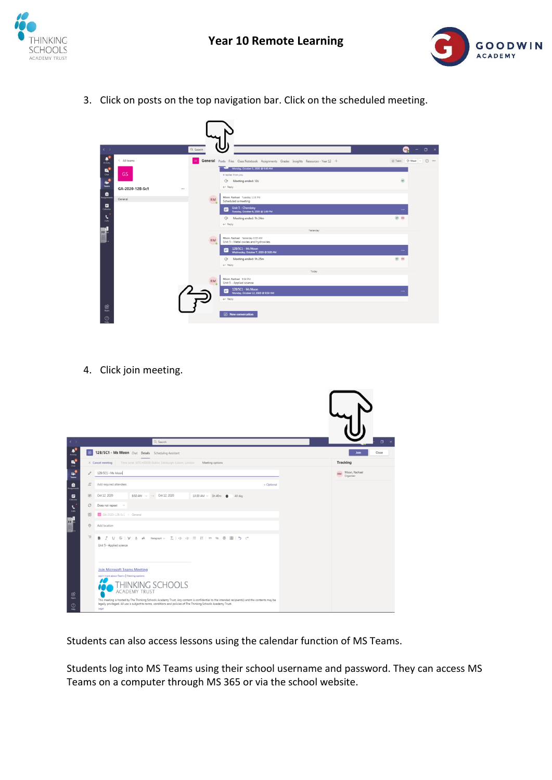



3. Click on posts on the top navigation bar. Click on the scheduled meeting.

| $\langle \quad \rangle$        |                     | Q Search                                   |                                                                                             | <b>RM</b><br>$ \sigma$ $\times$ |
|--------------------------------|---------------------|--------------------------------------------|---------------------------------------------------------------------------------------------|---------------------------------|
| $A^3$                          | $\langle$ All teams |                                            | General Posts Files Class Notebook Assignments Grades Insights Resources - Year 12 +        | Team GI Meet v (1)              |
| $\mathbf{B}^{\bullet}$         | <b>GS</b>           |                                            | Monday, October 5, 2020 @ 9:00 AM<br>4 replies from you                                     |                                 |
| ۰.<br><b>Teams</b>             | GA-2020-12B-Sc1<br> |                                            | $\bigoplus$<br>Meeting ended: 12s<br>$\leftarrow$ Reply                                     | $\overline{H}$                  |
| $\bullet$                      | General             | ٠<br><b>RM</b>                             | Moon, Rachael Tuesday 1:15 PM<br>Scheduled a meeting                                        |                                 |
| $\Box$<br>$\tilde{\mathbf{z}}$ |                     | $\overline{\phantom{a}}$                   | Unit 5 - Chemistry<br>Tuesday, October 6, 2020 @ 1:00 PM<br>m<br>्रिं Meeting ended: 1h 24m | $\cdots$<br>$HT$ $RM$           |
|                                |                     |                                            | $\leftarrow$ Reply<br>Yesterday                                                             |                                 |
| H.                             |                     | ٠<br><b>RM</b><br>$\overline{\phantom{a}}$ | Moon, Rachael Yesterday 8:59 AM<br>Unit 5 - Metal oxides and hydroxides                     |                                 |
|                                |                     |                                            | 12B/SC1 - Ms Moon<br>m<br>Wednesday, October 7, 2020 @ 9:00 AM                              | $\cdots$                        |
|                                |                     |                                            | $\ominus$<br>Meeting ended: 1h 25m<br>$\leftarrow$ Reply                                    | $H$ and                         |
|                                |                     |                                            | Today                                                                                       |                                 |
|                                |                     | <b>RM</b><br>۱ö                            | Moon, Rachael 9:04 PM<br>Unit 5 - Applied science                                           |                                 |
|                                |                     |                                            | 12B/SC1 - Ms Moon<br>m<br>Monday, October 12, 2020 @ 8:50 AM<br>$\leftarrow$ Reply          | $\cdots$                        |
| 思                              |                     |                                            |                                                                                             |                                 |
| $\odot$<br>Help                |                     |                                            | <b>Z</b> New conversation                                                                   |                                 |

4. Click join meeting.

| $\langle \quad \rangle$                                                                                                                                                                                                                                                                                                                             |                    | Q Search                                                                                                                                                                                                                                                                                                                                                                                                  | $\Box$ $\times$                         |
|-----------------------------------------------------------------------------------------------------------------------------------------------------------------------------------------------------------------------------------------------------------------------------------------------------------------------------------------------------|--------------------|-----------------------------------------------------------------------------------------------------------------------------------------------------------------------------------------------------------------------------------------------------------------------------------------------------------------------------------------------------------------------------------------------------------|-----------------------------------------|
| $\mathbf{A}^3$                                                                                                                                                                                                                                                                                                                                      | 田                  | 12B/SC1 - Ms Moon Chat Details Scheduling Assistant                                                                                                                                                                                                                                                                                                                                                       | Join<br>Close                           |
| $\mathbf{B}^{\prime}$                                                                                                                                                                                                                                                                                                                               |                    | Time zone: (UTC+00:00) Dublin, Edinburgh, Lisbon, London<br>Meeting options<br>$\times$ Cancel meeting                                                                                                                                                                                                                                                                                                    | Tracking                                |
| $\ddot{\bullet}$                                                                                                                                                                                                                                                                                                                                    | O                  | 12B/SC1 - Ms Moon                                                                                                                                                                                                                                                                                                                                                                                         | Moon, Rachael<br><b>RM</b><br>Organizer |
| $\bullet$                                                                                                                                                                                                                                                                                                                                           | $\mathbb{S}^*$     | Add required attendees<br>+ Optional                                                                                                                                                                                                                                                                                                                                                                      |                                         |
| $\begin{picture}(20,20) \put(0,0){\line(1,0){10}} \put(15,0){\line(1,0){10}} \put(15,0){\line(1,0){10}} \put(15,0){\line(1,0){10}} \put(15,0){\line(1,0){10}} \put(15,0){\line(1,0){10}} \put(15,0){\line(1,0){10}} \put(15,0){\line(1,0){10}} \put(15,0){\line(1,0){10}} \put(15,0){\line(1,0){10}} \put(15,0){\line(1,0){10}} \put(15,0){\line(1$ | 固                  | Oct 12, 2020<br>8:50 AM $\sim$ $\rightarrow$ Oct 12, 2020<br>$10:30$ AM $\sim$ 1h 40m $\bullet$<br>All day                                                                                                                                                                                                                                                                                                |                                         |
| $\epsilon$                                                                                                                                                                                                                                                                                                                                          | ø                  | Does not repeat v                                                                                                                                                                                                                                                                                                                                                                                         |                                         |
| Calls                                                                                                                                                                                                                                                                                                                                               | 图                  | $\Box$ GA-2020-128-Sc1 > General                                                                                                                                                                                                                                                                                                                                                                          |                                         |
| ľ                                                                                                                                                                                                                                                                                                                                                   | $\circledcirc$     | Add location                                                                                                                                                                                                                                                                                                                                                                                              |                                         |
|                                                                                                                                                                                                                                                                                                                                                     | $\overleftarrow{}$ | B J U S   ∀ A A Paragraph v エ  ∈ ∈ ⊟   ⊟   ") © 를 囲   *) ♂<br>Unit 5 - Applied science                                                                                                                                                                                                                                                                                                                    |                                         |
| $\mathbf{B}$<br>Apps<br>$\odot$<br>Help                                                                                                                                                                                                                                                                                                             |                    | <b>Join Microsoft Teams Meeting</b><br>Learn more about Teams   Meeting options<br>THINKING SCHOOLS<br><b>ACADEMY TRUST</b><br>This meeting is hosted by The Thinking Schools Academy Trust. Any content is confidential to the intended recipient(s) and the contents may be<br>legally privileged. All use is subject to terms, conditions and policies of The Thinking Schools Academy Trust.<br>Legal |                                         |

Students can also access lessons using the calendar function of MS Teams.

Students log into MS Teams using their school username and password. They can access MS Teams on a computer through MS 365 or via the school website.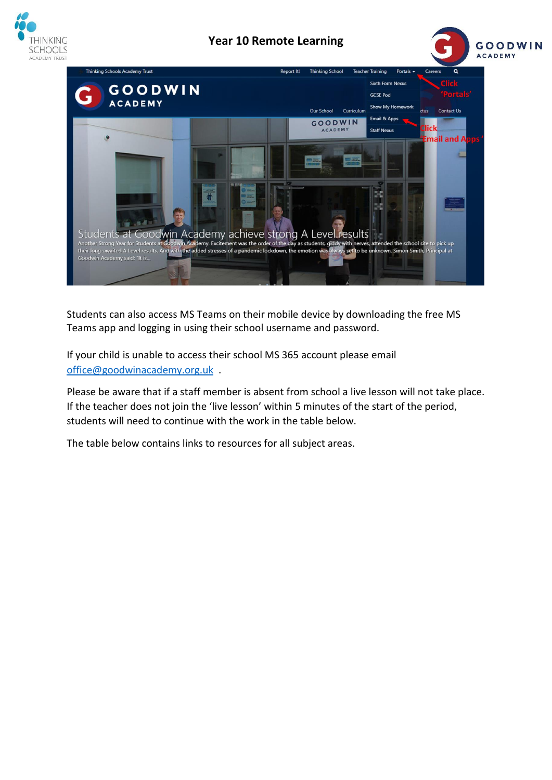

## **Year 10 Remote Learning**





Students can also access MS Teams on their mobile device by downloading the free MS Teams app and logging in using their school username and password.

If your child is unable to access their school MS 365 account please email [office@goodwinacademy.org.uk](mailto:office@goodwinacademy.org.uk) .

Please be aware that if a staff member is absent from school a live lesson will not take place. If the teacher does not join the 'live lesson' within 5 minutes of the start of the period, students will need to continue with the work in the table below.

The table below contains links to resources for all subject areas.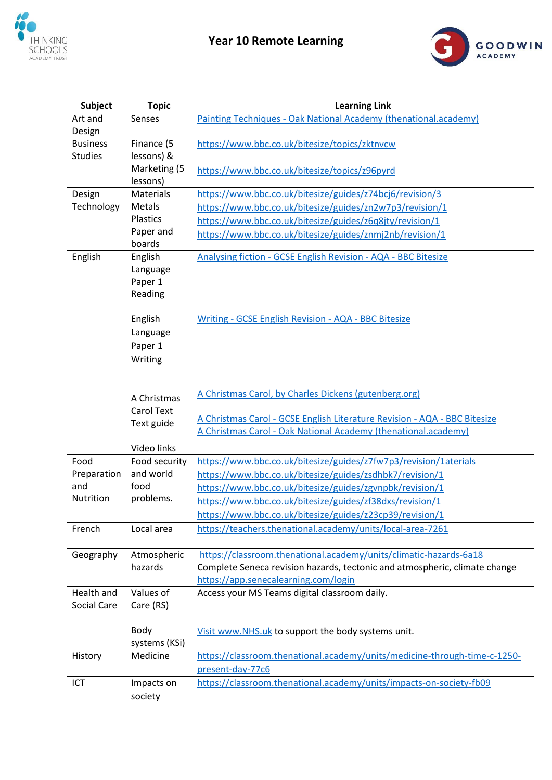



| <b>Subject</b>   | <b>Topic</b>          | <b>Learning Link</b>                                                                                                                        |
|------------------|-----------------------|---------------------------------------------------------------------------------------------------------------------------------------------|
| Art and          | Senses                | Painting Techniques - Oak National Academy (thenational.academy)                                                                            |
| Design           |                       |                                                                                                                                             |
| <b>Business</b>  | Finance (5            | https://www.bbc.co.uk/bitesize/topics/zktnvcw                                                                                               |
| <b>Studies</b>   | lessons) &            |                                                                                                                                             |
|                  | Marketing (5          | https://www.bbc.co.uk/bitesize/topics/z96pyrd                                                                                               |
|                  | lessons)              |                                                                                                                                             |
| Design           | <b>Materials</b>      | https://www.bbc.co.uk/bitesize/guides/z74bcj6/revision/3                                                                                    |
| Technology       | Metals                | https://www.bbc.co.uk/bitesize/guides/zn2w7p3/revision/1                                                                                    |
|                  | Plastics<br>Paper and | https://www.bbc.co.uk/bitesize/guides/z6q8jty/revision/1                                                                                    |
|                  | boards                | https://www.bbc.co.uk/bitesize/guides/znmj2nb/revision/1                                                                                    |
| English          | English               | Analysing fiction - GCSE English Revision - AQA - BBC Bitesize                                                                              |
|                  | Language              |                                                                                                                                             |
|                  | Paper 1               |                                                                                                                                             |
|                  | Reading               |                                                                                                                                             |
|                  |                       |                                                                                                                                             |
|                  | English               | Writing - GCSE English Revision - AQA - BBC Bitesize                                                                                        |
|                  | Language              |                                                                                                                                             |
|                  | Paper 1               |                                                                                                                                             |
|                  | Writing               |                                                                                                                                             |
|                  |                       |                                                                                                                                             |
|                  |                       |                                                                                                                                             |
|                  | A Christmas           | A Christmas Carol, by Charles Dickens (gutenberg.org)                                                                                       |
|                  | <b>Carol Text</b>     |                                                                                                                                             |
|                  | Text guide            | A Christmas Carol - GCSE English Literature Revision - AQA - BBC Bitesize<br>A Christmas Carol - Oak National Academy (thenational.academy) |
|                  |                       |                                                                                                                                             |
|                  | Video links           |                                                                                                                                             |
| Food             | Food security         | https://www.bbc.co.uk/bitesize/guides/z7fw7p3/revision/1aterials                                                                            |
| Preparation      | and world             | https://www.bbc.co.uk/bitesize/guides/zsdhbk7/revision/1                                                                                    |
| and<br>Nutrition | food                  | https://www.bbc.co.uk/bitesize/guides/zgvnpbk/revision/1                                                                                    |
|                  | problems.             | https://www.bbc.co.uk/bitesize/guides/zf38dxs/revision/1                                                                                    |
|                  |                       | https://www.bbc.co.uk/bitesize/guides/z23cp39/revision/1                                                                                    |
| French           | Local area            | https://teachers.thenational.academy/units/local-area-7261                                                                                  |
|                  |                       |                                                                                                                                             |
| Geography        | Atmospheric           | https://classroom.thenational.academy/units/climatic-hazards-6a18                                                                           |
|                  | hazards               | Complete Seneca revision hazards, tectonic and atmospheric, climate change                                                                  |
|                  |                       | https://app.senecalearning.com/login                                                                                                        |
| Health and       | Values of             | Access your MS Teams digital classroom daily.                                                                                               |
| Social Care      | Care (RS)             |                                                                                                                                             |
|                  | Body                  |                                                                                                                                             |
|                  | systems (KSi)         | Visit www.NHS.uk to support the body systems unit.                                                                                          |
| History          | Medicine              | https://classroom.thenational.academy/units/medicine-through-time-c-1250-                                                                   |
|                  |                       | present-day-77c6                                                                                                                            |
| ICT              | Impacts on            | https://classroom.thenational.academy/units/impacts-on-society-fb09                                                                         |
|                  |                       |                                                                                                                                             |
|                  | society               |                                                                                                                                             |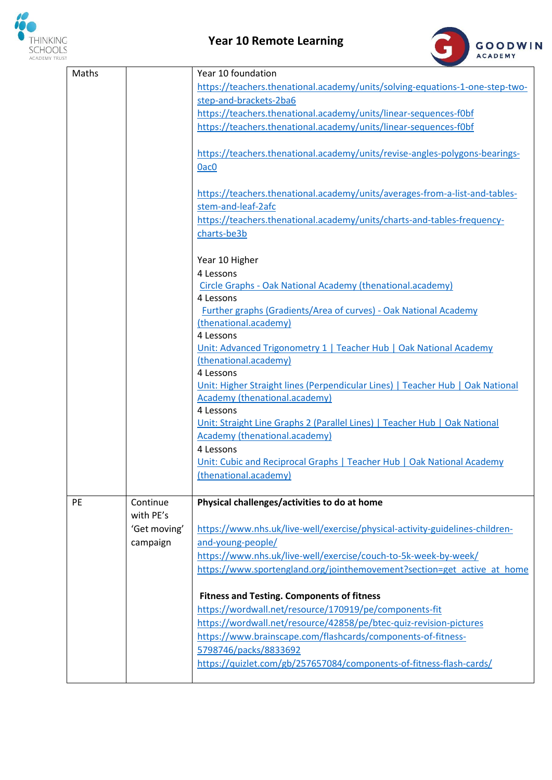

## **Year 10 Remote Learning**



| Maths     |                          | Year 10 foundation                                                                                                                                                           |
|-----------|--------------------------|------------------------------------------------------------------------------------------------------------------------------------------------------------------------------|
|           |                          | https://teachers.thenational.academy/units/solving-equations-1-one-step-two-                                                                                                 |
|           |                          | step-and-brackets-2ba6                                                                                                                                                       |
|           |                          | https://teachers.thenational.academy/units/linear-sequences-f0bf                                                                                                             |
|           |                          | https://teachers.thenational.academy/units/linear-sequences-f0bf                                                                                                             |
|           |                          | https://teachers.thenational.academy/units/revise-angles-polygons-bearings-<br>0ac <sub>0</sub>                                                                              |
|           |                          | https://teachers.thenational.academy/units/averages-from-a-list-and-tables-<br>stem-and-leaf-2afc<br>https://teachers.thenational.academy/units/charts-and-tables-frequency- |
|           |                          | charts-be3b                                                                                                                                                                  |
|           |                          | Year 10 Higher                                                                                                                                                               |
|           |                          | 4 Lessons                                                                                                                                                                    |
|           |                          | Circle Graphs - Oak National Academy (thenational.academy)<br>4 Lessons                                                                                                      |
|           |                          | <b>Further graphs (Gradients/Area of curves) - Oak National Academy</b>                                                                                                      |
|           |                          | (thenational.academy)                                                                                                                                                        |
|           |                          | 4 Lessons                                                                                                                                                                    |
|           |                          | Unit: Advanced Trigonometry 1   Teacher Hub   Oak National Academy                                                                                                           |
|           |                          | (thenational.academy)                                                                                                                                                        |
|           |                          | 4 Lessons                                                                                                                                                                    |
|           |                          | Unit: Higher Straight lines (Perpendicular Lines)   Teacher Hub   Oak National<br><b>Academy (thenational.academy)</b>                                                       |
|           |                          | 4 Lessons                                                                                                                                                                    |
|           |                          | Unit: Straight Line Graphs 2 (Parallel Lines)   Teacher Hub   Oak National                                                                                                   |
|           |                          | Academy (thenational.academy)                                                                                                                                                |
|           |                          | 4 Lessons                                                                                                                                                                    |
|           |                          | Unit: Cubic and Reciprocal Graphs   Teacher Hub   Oak National Academy                                                                                                       |
|           |                          | (thenational.academy)                                                                                                                                                        |
|           |                          |                                                                                                                                                                              |
| <b>PE</b> | Continue                 | Physical challenges/activities to do at home                                                                                                                                 |
|           | with PE's                |                                                                                                                                                                              |
|           | 'Get moving'<br>campaign | https://www.nhs.uk/live-well/exercise/physical-activity-guidelines-children-<br>and-young-people/                                                                            |
|           |                          | https://www.nhs.uk/live-well/exercise/couch-to-5k-week-by-week/                                                                                                              |
|           |                          | https://www.sportengland.org/jointhemovement?section=get active at home                                                                                                      |
|           |                          |                                                                                                                                                                              |
|           |                          | <b>Fitness and Testing. Components of fitness</b>                                                                                                                            |
|           |                          | https://wordwall.net/resource/170919/pe/components-fit                                                                                                                       |
|           |                          | https://wordwall.net/resource/42858/pe/btec-quiz-revision-pictures                                                                                                           |
|           |                          | https://www.brainscape.com/flashcards/components-of-fitness-                                                                                                                 |
|           |                          | 5798746/packs/8833692                                                                                                                                                        |
|           |                          | https://quizlet.com/gb/257657084/components-of-fitness-flash-cards/                                                                                                          |
|           |                          |                                                                                                                                                                              |